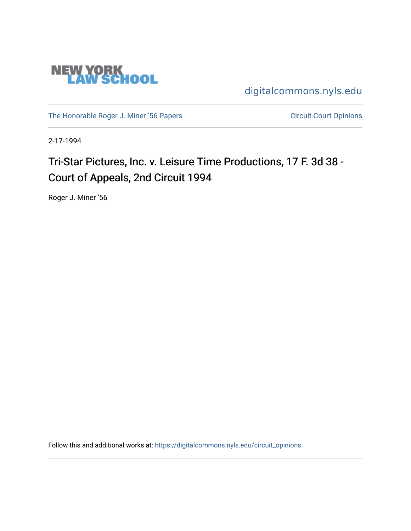

[digitalcommons.nyls.edu](https://digitalcommons.nyls.edu/) 

[The Honorable Roger J. Miner '56 Papers](https://digitalcommons.nyls.edu/miner_papers) Circuit Court Opinions

2-17-1994

# Tri-Star Pictures, Inc. v. Leisure Time Productions, 17 F. 3d 38 -Court of Appeals, 2nd Circuit 1994

Roger J. Miner '56

Follow this and additional works at: [https://digitalcommons.nyls.edu/circuit\\_opinions](https://digitalcommons.nyls.edu/circuit_opinions?utm_source=digitalcommons.nyls.edu%2Fcircuit_opinions%2F409&utm_medium=PDF&utm_campaign=PDFCoverPages)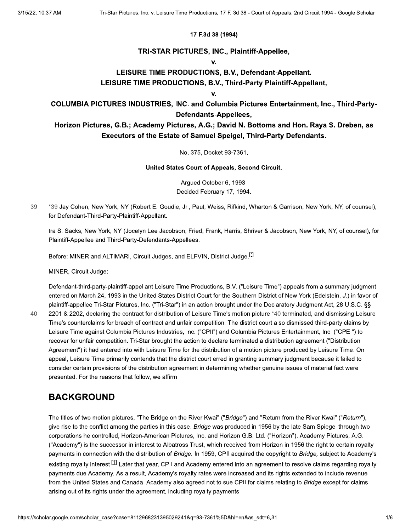#### 17 F.3d 38 (1994)

### TRI-STAR PICTURES, INC., Plaintiff-Appellee,

#### V.

### LEISURE TIME PRODUCTIONS, B.V., Defendant-Appellant.

### LEISURE TIME PRODUCTIONS, B.V., Third-Party Plaintiff-Appellant,

v.

### **COLUMBIA PICTURES INDUSTRIES, INC. and Columbia Pictures Entertainment, Inc., Third-Party-**Defendants-Appellees,

### Horizon Pictures, G.B.; Academy Pictures, A.G.; David N. Bottoms and Hon. Raya S. Dreben, as Executors of the Estate of Samuel Speigel, Third-Party Defendants.

### No. 375, Docket 93-7361.

United States Court of Appeals, Second Circuit.

Arqued October 6, 1993. Decided February 17, 1994.

39 \*39 Jay Cohen, New York, NY (Robert E. Goudie, Jr., Paul, Weiss, Rifkind, Wharton & Garrison, New York, NY, of counsel), for Defendant-Third-Party-Plaintiff-Appellant.

Ira S. Sacks, New York, NY (Jocelyn Lee Jacobson, Fried, Frank, Harris, Shriver & Jacobson, New York, NY, of counsel), for Plaintiff-Appellee and Third-Party-Defendants-Appellees.

Before: MINER and ALTIMARI, Circuit Judges, and ELFVIN, District Judge.<sup>[1]</sup>

MINER, Circuit Judge:

Defendant-third-party-plaintiff-appellant Leisure Time Productions, B.V. ("Leisure Time") appeals from a summary judgment entered on March 24, 1993 in the United States District Court for the Southern District of New York (Edelstein, J.) in favor of plaintiff-appellee Tri-Star Pictures, Inc. ("Tri-Star") in an action brought under the Declaratory Judgment Act, 28 U.S.C. §§ 2201 & 2202, declaring the contract for distribution of Leisure Time's motion picture \*40 terminated, and dismissing Leisure

40

Time's counterclaims for breach of contract and unfair competition. The district court also dismissed third-party claims by Leisure Time against Columbia Pictures Industries, Inc. ("CPII") and Columbia Pictures Entertainment, Inc. ("CPEI") to recover for unfair competition. Tri-Star brought the action to declare terminated a distribution agreement ("Distribution Agreement") it had entered into with Leisure Time for the distribution of a motion picture produced by Leisure Time. On appeal, Leisure Time primarily contends that the district court erred in granting summary judgment because it failed to consider certain provisions of the distribution agreement in determining whether genuine issues of material fact were presented. For the reasons that follow, we affirm.

## **BACKGROUND**

The titles of two motion pictures, "The Bridge on the River Kwai" ("Bridge") and "Return from the River Kwai" ("Return"), give rise to the conflict among the parties in this case. Bridge was produced in 1956 by the late Sam Spiegel through two corporations he controlled, Horizon-American Pictures, Inc. and Horizon G.B. Ltd. ("Horizon"). Academy Pictures, A.G. ("Academy") is the successor in interest to Albatross Trust, which received from Horizon in 1956 the right to certain royalty payments in connection with the distribution of Bridge. In 1959, CPII acquired the copyright to Bridge, subject to Academy's existing royalty interest.<sup>[1]</sup> Later that year, CPII and Academy entered into an agreement to resolve claims regarding royalty payments due Academy. As a result, Academy's royalty rates were increased and its rights extended to include revenue from the United States and Canada. Academy also agreed not to sue CPII for claims relating to Bridge except for claims arising out of its rights under the agreement, including royalty payments.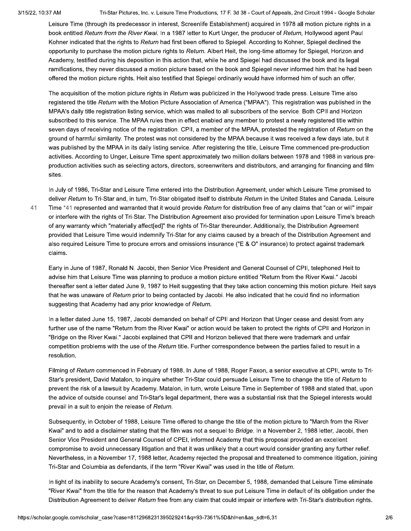$41$ 

Tri-Star Pictures, Inc. v. Leisure Time Productions, 17 F. 3d 38 - Court of Appeals, 2nd Circuit 1994 - Google Scholar

Leisure Time (through its predecessor in interest, Screenlife Establishment) acquired in 1978 all motion picture rights in a book entitled Return from the River Kwai. In a 1987 letter to Kurt Unger, the producer of Return, Hollywood agent Paul Kohner indicated that the rights to Return had first been offered to Spiegel. According to Kohner, Spiegel declined the opportunity to purchase the motion picture rights to Return. Albert Heit, the long-time attorney for Spiegel, Horizon and Academy, testified during his deposition in this action that, while he and Spiegel had discussed the book and its legal ramifications, they never discussed a motion picture based on the book and Spiegel never informed him that he had been offered the motion picture rights. Heit also testified that Spiegel ordinarily would have informed him of such an offer.

The acquisition of the motion picture rights in Return was publicized in the Hollywood trade press. Leisure Time also registered the title Return with the Motion Picture Association of America ("MPAA"). This registration was published in the MPAA's daily title registration listing service, which was mailed to all subscribers of the service. Both CPII and Horizon subscribed to this service. The MPAA rules then in effect enabled any member to protest a newly registered title within seven days of receiving notice of the registration. CPII, a member of the MPAA, protested the registration of Return on the ground of harmful similarity. The protest was not considered by the MPAA because it was received a few days late, but it was published by the MPAA in its daily listing service. After registering the title, Leisure Time commenced pre-production activities. According to Unger, Leisure Time spent approximately two million dollars between 1978 and 1988 in various preproduction activities such as selecting actors, directors, screenwriters and distributors, and arranging for financing and film sites.

In July of 1986, Tri-Star and Leisure Time entered into the Distribution Agreement, under which Leisure Time promised to deliver Return to Tri-Star and, in turn, Tri-Star obligated itself to distribute Return in the United States and Canada. Leisure Time \*41 represented and warranted that it would provide Return for distribution free of any claims that "can or will" impair or interfere with the rights of Tri-Star. The Distribution Agreement also provided for termination upon Leisure Time's breach of any warranty which "materially affect[ed]" the rights of Tri-Star thereunder. Additionally, the Distribution Agreement provided that Leisure Time would indemnify Tri-Star for any claims caused by a breach of the Distribution Agreement and also required Leisure Time to procure errors and omissions insurance ("E & O" insurance) to protect against trademark claims.

Early in June of 1987, Ronald N. Jacobi, then Senior Vice President and General Counsel of CPII, telephoned Heit to advise him that Leisure Time was planning to produce a motion picture entitled "Return from the River Kwai." Jacobi thereafter sent a letter dated June 9, 1987 to Heit suggesting that they take action concerning this motion picture. Heit says that he was unaware of Return prior to being contacted by Jacobi. He also indicated that he could find no information suggesting that Academy had any prior knowledge of Return.

In a letter dated June 15, 1987, Jacobi demanded on behalf of CPII and Horizon that Unger cease and desist from any further use of the name "Return from the River Kwai" or action would be taken to protect the rights of CPII and Horizon in "Bridge on the River Kwai." Jacobi explained that CPII and Horizon believed that there were trademark and unfair competition problems with the use of the Return title. Further correspondence between the parties failed to result in a resolution.

Filming of Return commenced in February of 1988. In June of 1988, Roger Faxon, a senior executive at CPII, wrote to Tri-Star's president, David Matalon, to inquire whether Tri-Star could persuade Leisure Time to change the title of Return to prevent the risk of a lawsuit by Academy. Matalon, in turn, wrote Leisure Time in September of 1988 and stated that, upon the advice of outside counsel and Tri-Star's legal department, there was a substantial risk that the Spiegel interests would prevail in a suit to enjoin the release of Return.

Subsequently, in October of 1988, Leisure Time offered to change the title of the motion picture to "March from the River Kwai" and to add a disclaimer stating that the film was not a sequel to Bridge. In a November 2, 1988 letter, Jacobi, then Senior Vice President and General Counsel of CPEI, informed Academy that this proposal provided an excellent compromise to avoid unnecessary litigation and that it was unlikely that a court would consider granting any further relief. Nevertheless, in a November 17, 1988 letter, Academy rejected the proposal and threatened to commence litigation, joining Tri-Star and Columbia as defendants, if the term "River Kwai" was used in the title of Return.

In light of its inability to secure Academy's consent, Tri-Star, on December 5, 1988, demanded that Leisure Time eliminate "River Kwai" from the title for the reason that Academy's threat to sue put Leisure Time in default of its obligation under the Distribution Agreement to deliver Return free from any claim that could impair or interfere with Tri-Star's distribution rights.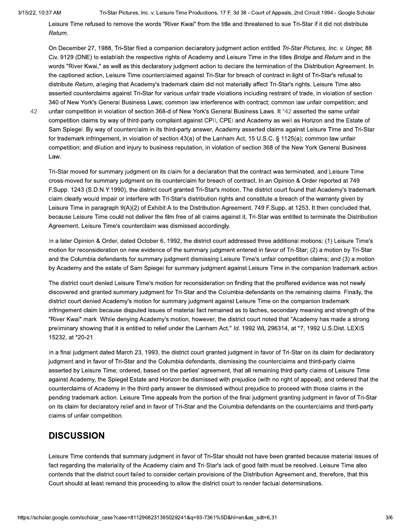Tri-Star Pictures, Inc. v. Leisure Time Productions, 17 F. 3d 38 - Court of Appeals, 2nd Circuit 1994 - Google Scholar

Leisure Time refused to remove the words "River Kwai" from the title and threatened to sue Tri-Star if it did not distribute Return.

On December 27, 1988, Tri-Star filed a companion declaratory judgment action entitled Tri-Star Pictures, Inc. v. Unger, 88 Civ. 9129 (DNE) to establish the respective rights of Academy and Leisure Time in the titles Bridge and Return and in the words "River Kwai," as well as this declaratory judgment action to declare the termination of the Distribution Agreement. In the captioned action, Leisure Time counterclaimed against Tri-Star for breach of contract in light of Tri-Star's refusal to distribute Return, alleging that Academy's trademark claim did not materially affect Tri-Star's rights. Leisure Time also asserted counterclaims against Tri-Star for various unfair trade violations including restraint of trade, in violation of section 340 of New York's General Business Laws; common law interference with contract; common law unfair competition; and unfair competition in violation of section 368-d of New York's General Business Laws. It \*42 asserted the same unfair competition claims by way of third-party complaint against CPII, CPEI and Academy as well as Horizon and the Estate of Sam Spiegel. By way of counterclaim in its third-party answer, Academy asserted claims against Leisure Time and Tri-Star for trademark infringement, in violation of section 43(a) of the Lanham Act, 15 U.S.C. § 1125(a); common law unfair competition; and dilution and injury to business reputation, in violation of section 368 of the New York General Business Law.

42

Tri-Star moved for summary judgment on its claim for a declaration that the contract was terminated, and Leisure Time cross-moved for summary judgment on its counterclaim for breach of contract. In an Opinion & Order reported at 749 F.Supp. 1243 (S.D.N.Y.1990), the district court granted Tri-Star's motion. The district court found that Academy's trademark claim clearly would impair or interfere with Tri-Star's distribution rights and constitute a breach of the warranty given by Leisure Time in paragraph 9(A)(2) of Exhibit A to the Distribution Agreement. 749 F.Supp. at 1253. It then concluded that, because Leisure Time could not deliver the film free of all claims against it, Tri-Star was entitled to terminate the Distribution Agreement. Leisure Time's counterclaim was dismissed accordingly.

In a later Opinion & Order, dated October 6, 1992, the district court addressed three additional motions: (1) Leisure Time's motion for reconsideration on new evidence of the summary judgment entered in favor of Tri-Star; (2) a motion by Tri-Star and the Columbia defendants for summary judgment dismissing Leisure Time's unfair competition claims; and (3) a motion by Academy and the estate of Sam Spiegel for summary judgment against Leisure Time in the companion trademark action.

The district court denied Leisure Time's motion for reconsideration on finding that the proffered evidence was not newly discovered and granted summary judgment for Tri-Star and the Columbia defendants on the remaining claims. Finally, the district court denied Academy's motion for summary judgment against Leisure Time on the companion trademark infringement claim because disputed issues of material fact remained as to laches, secondary meaning and strength of the "River Kwai" mark. While denying Academy's motion, however, the district court noted that "Academy has made a strong preliminary showing that it is entitled to relief under the Lanham Act." Id. 1992 WL 296314, at \*7, 1992 U.S.Dist. LEXIS 15232, at \*20-21.

In a final judgment dated March 23, 1993, the district court granted judgment in favor of Tri-Star on its claim for declaratory judgment and in favor of Tri-Star and the Columbia defendants, dismissing the counterclaims and third-party claims asserted by Leisure Time; ordered, based on the parties' agreement, that all remaining third-party claims of Leisure Time against Academy, the Spiegel Estate and Horizon be dismissed with prejudice (with no right of appeal); and ordered that the counterclaims of Academy in the third-party answer be dismissed without prejudice to proceed with those claims in the pending trademark action. Leisure Time appeals from the portion of the final judgment granting judgment in favor of Tri-Star on its claim for declaratory relief and in favor of Tri-Star and the Columbia defendants on the counterclaims and third-party claims of unfair competition.

# **DISCUSSION**

Leisure Time contends that summary judgment in favor of Tri-Star should not have been granted because material issues of fact regarding the materiality of the Academy claim and Tri-Star's lack of good faith must be resolved. Leisure Time also contends that the district court failed to consider certain provisions of the Distribution Agreement and, therefore, that this Court should at least remand this proceeding to allow the district court to render factual determinations.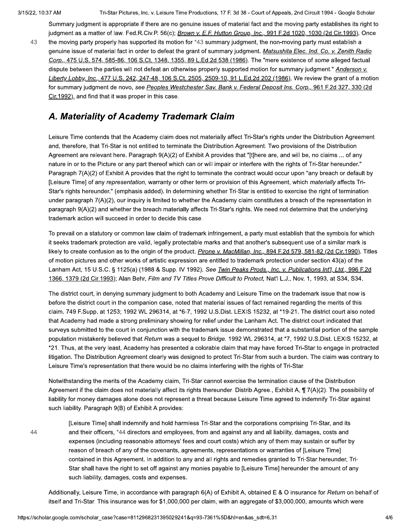Tri-Star Pictures, Inc. v. Leisure Time Productions, 17 F. 3d 38 - Court of Appeals, 2nd Circuit 1994 - Google Scholar

Summary judgment is appropriate if there are no genuine issues of material fact and the moving party establishes its right to judgment as a matter of law. Fed.R.Civ.P. 56(c); Brown v. E.F. Hutton Group, Inc., 991 F.2d 1020, 1030 (2d Cir.1993). Once

43 the moving party properly has supported its motion for \*43 summary judgment, the non-moving party must establish a genuine issue of material fact in order to defeat the grant of summary judgment. Matsushita Elec. Ind. Co. v. Zenith Radio Corp., 475 U.S. 574, 585-86, 106 S.Ct. 1348, 1355, 89 L.Ed.2d 538 (1986). The "mere existence of some alleged factual dispute between the parties will not defeat an otherwise properly supported motion for summary judgment." Anderson v. Liberty Lobby, Inc., 477 U.S. 242, 247-48, 106 S.Ct. 2505, 2509-10, 91 L.Ed.2d 202 (1986). We review the grant of a motion for summary judgment de novo, see Peoples Westchester Sav. Bank v. Federal Deposit Ins. Corp., 961 F.2d 327, 330 (2d Cir.1992), and find that it was proper in this case.

# A. Materiality of Academy Trademark Claim

Leisure Time contends that the Academy claim does not materially affect Tri-Star's rights under the Distribution Agreement and, therefore, that Tri-Star is not entitled to terminate the Distribution Agreement. Two provisions of the Distribution Agreement are relevant here. Paragraph 9(A)(2) of Exhibit A provides that "[t]here are, and will be, no claims ... of any nature in or to the Picture or any part thereof which can or will impair or interfere with the rights of Tri-Star hereunder." Paragraph 7(A)(2) of Exhibit A provides that the right to terminate the contract would occur upon "any breach or default by [Leisure Time] of any representation, warranty or other term or provision of this Agreement, which materially affects Tri-Star's rights hereunder." (emphasis added). In determining whether Tri-Star is entitled to exercise the right of termination under paragraph 7(A)(2), our inquiry is limited to whether the Academy claim constitutes a breach of the representation in paragraph 9(A)(2) and whether the breach materially affects Tri-Star's rights. We need not determine that the underlying trademark action will succeed in order to decide this case.

To prevail on a statutory or common law claim of trademark infringement, a party must establish that the symbols for which it seeks trademark protection are valid, legally protectable marks and that another's subsequent use of a similar mark is likely to create confusion as to the origin of the product. Pirone v. MacMillan, Inc., 894 F.2d 579, 581-82 (2d Cir.1990). Titles of motion pictures and other works of artistic expression are entitled to trademark protection under section 43(a) of the Lanham Act, 15 U.S.C. § 1125(a) (1988 & Supp. IV 1992). See Twin Peaks Prods., Inc. v. Publications Int'l, Ltd., 996 F.2d 1366, 1379 (2d Cir.1993); Alan Behr, Film and TV Titles Prove Difficult to Protect, Nat'l L.J., Nov. 1, 1993, at S34, S34.

The district court, in denying summary judgment to both Academy and Leisure Time on the trademark issue that now is before the district court in the companion case, noted that material issues of fact remained regarding the merits of this claim. 749 F.Supp. at 1253; 1992 WL 296314, at \*6-7, 1992 U.S.Dist. LEXIS 15232, at \*19-21. The district court also noted that Academy had made a strong preliminary showing for relief under the Lanham Act. The district court indicated that surveys submitted to the court in conjunction with the trademark issue demonstrated that a substantial portion of the sample population mistakenly believed that Return was a sequel to Bridge. 1992 WL 296314, at \*7, 1992 U.S.Dist. LEXIS 15232, at \*21. Thus, at the very least, Academy has presented a colorable claim that may have forced Tri-Star to engage in protracted litigation. The Distribution Agreement clearly was designed to protect Tri-Star from such a burden. The claim was contrary to Leisure Time's representation that there would be no claims interfering with the rights of Tri-Star.

Notwithstanding the merits of the Academy claim. Tri-Star cannot exercise the termination clause of the Distribution Agreement if the claim does not materially affect its rights thereunder. Distrib.Agree., Exhibit A, ¶7(A)(2). The possibility of liability for money damages alone does not represent a threat because Leisure Time agreed to indemnify Tri-Star against such liability. Paragraph 9(B) of Exhibit A provides:

44

[Leisure Time] shall indemnify and hold harmless Tri-Star and the corporations comprising Tri-Star, and its and their officers, \*44 directors and employees, from and against any and all liability, damages, costs and expenses (including reasonable attorneys' fees and court costs) which any of them may sustain or suffer by reason of breach of any of the covenants, agreements, representations or warranties of [Leisure Time] contained in this Agreement. In addition to any and all rights and remedies granted to Tri-Star hereunder, Tri-Star shall have the right to set off against any monies payable to [Leisure Time] hereunder the amount of any such liability, damages, costs and expenses.

Additionally, Leisure Time, in accordance with paragraph 6(A) of Exhibit A, obtained E & O insurance for Return on behalf of itself and Tri-Star. This insurance was for \$1,000,000 per claim, with an aggregate of \$3,000,000, amounts which were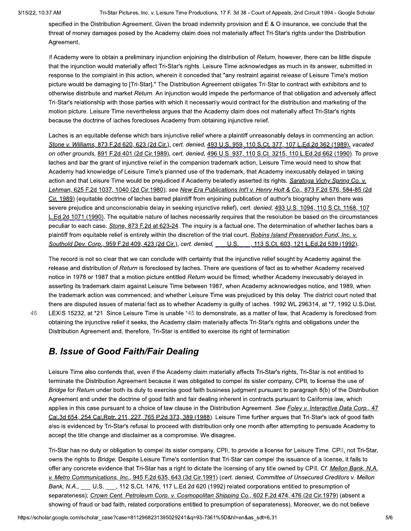45

Tri-Star Pictures, Inc. v. Leisure Time Productions, 17 F. 3d 38 - Court of Appeals, 2nd Circuit 1994 - Google Scholar

specified in the Distribution Agreement. Given the broad indemnity provision and E & O insurance, we conclude that the threat of money damages posed by the Academy claim does not materially affect Tri-Star's rights under the Distribution Agreement.

If Academy were to obtain a preliminary injunction enjoining the distribution of Return, however, there can be little dispute that the injunction would materially affect Tri-Star's rights. Leisure Time acknowledges as much in its answer, submitted in response to the complaint in this action, wherein it conceded that "any restraint against release of Leisure Time's motion picture would be damaging to [Tri-Star]." The Distribution Agreement obligates Tri-Star to contract with exhibitors and to otherwise distribute and market Return. An injunction would impede the performance of that obligation and adversely affect Tri-Star's relationship with those parties with which it necessarily would contract for the distribution and marketing of the motion picture. Leisure Time nevertheless argues that the Academy claim does not materially affect Tri-Star's rights because the doctrine of laches forecloses Academy from obtaining injunctive relief.

Laches is an equitable defense which bars injunctive relief where a plaintiff unreasonably delays in commencing an action. Stone v. Williams, 873 F.2d 620, 623 (2d Cir.), cert. denied, 493 U.S. 959, 110 S.Ct. 377, 107 L.Ed.2d 362 (1989), vacated on other grounds, 891 F.2d 401 (2d Cir.1989), cert. denied, 496 U.S. 937, 110 S.Ct. 3215, 110 L.Ed.2d 662 (1990). To prove laches and bar the grant of injunctive relief in the companion trademark action, Leisure Time would need to show that Academy had knowledge of Leisure Time's planned use of the trademark, that Academy inexcusably delayed in taking action and that Leisure Time would be prejudiced if Academy belatedly asserted its rights. Saratoga Vichy Spring Co. v. Lehman, 625 F.2d 1037, 1040 (2d Cir.1980); see New Era Publications Int'l v. Henry Holt & Co., 873 F.2d 576, 584-85 (2d Cir. 1989) (equitable doctrine of laches barred plaintiff from enjoining publication of author's biography when there was severe prejudice and unconscionable delay in seeking injunctive relief), cert. denied, 493 U.S. 1094, 110 S.Ct. 1168, 107 L.Ed.2d 1071 (1990). The equitable nature of laches necessarily requires that the resolution be based on the circumstances peculiar to each case. Stone, 873 F.2d at 623-24. The inquiry is a factual one. The determination of whether laches bars a plaintiff from equitable relief is entirely within the discretion of the trial court. Robins Island Preservation Fund, Inc. v. Southold Dev. Corp., 959 F.2d 409, 423 (2d Cir.), cert. denied, U.S. 13 S.Ct. 603, 121 L.Ed.2d 539 (1992).

The record is not so clear that we can conclude with certainty that the injunctive relief sought by Academy against the release and distribution of Return is foreclosed by laches. There are questions of fact as to whether Academy received notice in 1978 or 1987 that a motion picture entitled Return would be filmed; whether Academy inexcusably delayed in asserting its trademark claim against Leisure Time between 1987, when Academy acknowledges notice, and 1989, when the trademark action was commenced; and whether Leisure Time was prejudiced by this delay. The district court noted that there are disputed issues of material fact as to whether Academy is guilty of laches. 1992 WL 296314, at \*7, 1992 U.S.Dist. LEXIS 15232, at \*21. Since Leisure Time is unable \*45 to demonstrate, as a matter of law, that Academy is foreclosed from obtaining the injunctive relief it seeks, the Academy claim materially affects Tri-Star's rights and obligations under the Distribution Agreement and, therefore, Tri-Star is entitled to exercise its right of termination.

# **B. Issue of Good Faith/Fair Dealing**

Leisure Time also contends that, even if the Academy claim materially affects Tri-Star's rights, Tri-Star is not entitled to terminate the Distribution Agreement because it was obligated to compel its sister company. CPII, to license the use of Bridge for Return under both its duty to exercise good faith business judgment pursuant to paragraph 8(b) of the Distribution Agreement and under the doctrine of good faith and fair dealing inherent in contracts pursuant to California law, which applies in this case pursuant to a choice of law clause in the Distribution Agreement. See Foley v. Interactive Data Corp., 47 Cal.3d 654, 254 Cal.Rptr. 211, 227, 765 P.2d 373, 389 (1988). Leisure Time further argues that Tri-Star's lack of good faith also is evidenced by Tri-Star's refusal to proceed with distribution only one month after attempting to persuade Academy to accept the title change and disclaimer as a compromise. We disagree.

Tri-Star has no duty or obligation to compel its sister company, CPII, to provide a license for Leisure Time. CPII, not Tri-Star, owns the rights to Bridge. Despite Leisure Time's contention that Tri-Star can compel the issuance of a license, it fails to offer any concrete evidence that Tri-Star has a right to dictate the licensing of any title owned by CPII. Cf. Mellon Bank, N.A. v. Metro Communications, Inc., 945 F.2d 635, 643 (3d Cir.1991) (cert. denied, Committee of Unsecured Creditors v. Mellon Bank, N.A., U.S., 112 S.Ct. 1476, 117 L.Ed.2d 620 (1992) related corporations entitled to presumption of separateness); Crown Cent. Petroleum Corp. v. Cosmopolitan Shipping Co., 602 F.2d 474, 476 (2d Cir.1979) (absent a showing of fraud or bad faith, related corporations entitled to presumption of separateness). Moreover, we do not believe